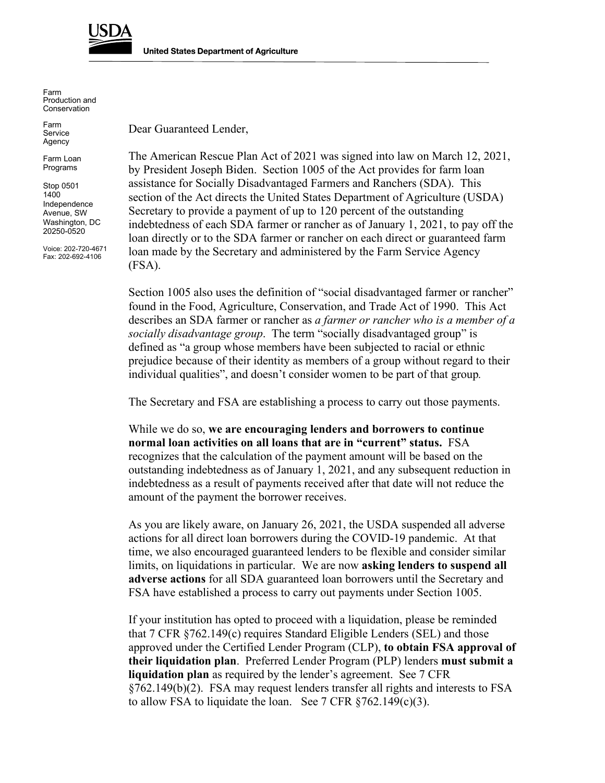

Farm Production and Conservation

Farm Service Agency

Farm Loan Programs

Stop 0501 1400 Independence Avenue, SW Washington, DC 20250-0520

Voice: 202-720-4671 Fax: 202-692-4106

Dear Guaranteed Lender,

The American Rescue Plan Act of 2021 was signed into law on March 12, 2021, by President Joseph Biden. Section 1005 of the Act provides for farm loan assistance for Socially Disadvantaged Farmers and Ranchers (SDA). This section of the Act directs the United States Department of Agriculture (USDA) Secretary to provide a payment of up to 120 percent of the outstanding indebtedness of each SDA farmer or rancher as of January 1, 2021, to pay off the loan directly or to the SDA farmer or rancher on each direct or guaranteed farm loan made by the Secretary and administered by the Farm Service Agency (FSA).

Section 1005 also uses the definition of "social disadvantaged farmer or rancher" found in the Food, Agriculture, Conservation, and Trade Act of 1990. This Act describes an SDA farmer or rancher as *a farmer or rancher who is a member of a socially disadvantage group*. The term "socially disadvantaged group" is defined as "a group whose members have been subjected to racial or ethnic prejudice because of their identity as members of a group without regard to their individual qualities", and doesn't consider women to be part of that group*.*

The Secretary and FSA are establishing a process to carry out those payments.

While we do so, **we are encouraging lenders and borrowers to continue normal loan activities on all loans that are in "current" status.** FSA recognizes that the calculation of the payment amount will be based on the outstanding indebtedness as of January 1, 2021, and any subsequent reduction in indebtedness as a result of payments received after that date will not reduce the amount of the payment the borrower receives.

As you are likely aware, on January 26, 2021, the USDA suspended all adverse actions for all direct loan borrowers during the COVID-19 pandemic. At that time, we also encouraged guaranteed lenders to be flexible and consider similar limits, on liquidations in particular. We are now **asking lenders to suspend all adverse actions** for all SDA guaranteed loan borrowers until the Secretary and FSA have established a process to carry out payments under Section 1005.

If your institution has opted to proceed with a liquidation, please be reminded that 7 CFR §762.149(c) requires Standard Eligible Lenders (SEL) and those approved under the Certified Lender Program (CLP), **to obtain FSA approval of their liquidation plan**. Preferred Lender Program (PLP) lenders **must submit a liquidation plan** as required by the lender's agreement. See 7 CFR §762.149(b)(2). FSA may request lenders transfer all rights and interests to FSA to allow FSA to liquidate the loan. See  $7$  CFR  $\S762.149(c)(3)$ .